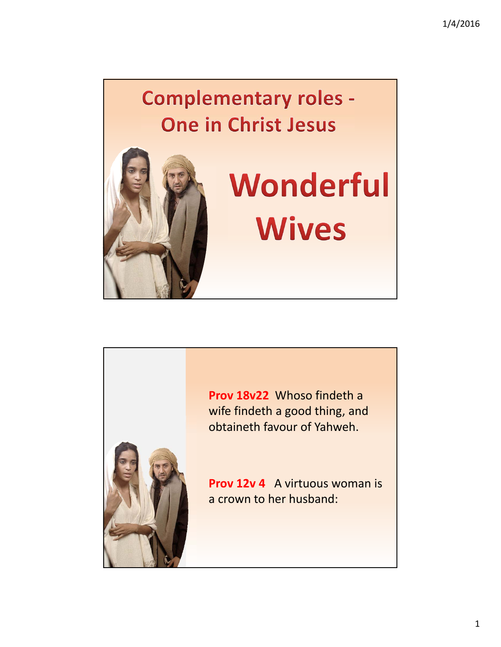# **Complementary roles -One in Christ Jesus**



# Wonderful **Wives**



**Prov 18v22** Whoso findeth a wife findeth a good thing, and obtaineth favour of Yahweh.

**Prov 12v 4** A virtuous woman is a crown to her husband: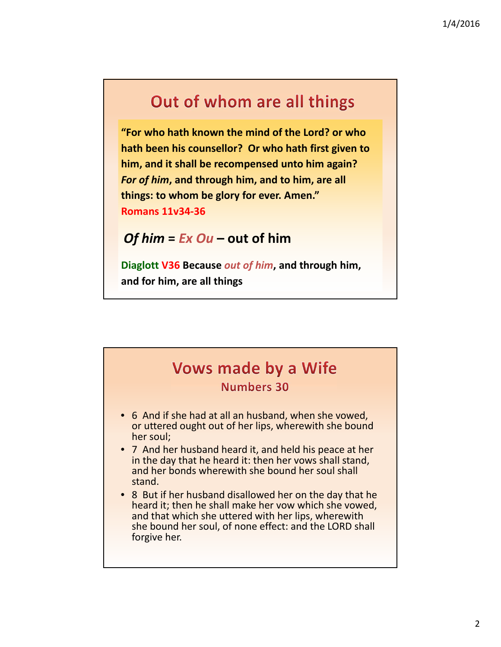# Out of whom are all things

**"For who hath known the mind of the Lord? or who hath been his counsellor? Or who hath first given to him, and it shall be recompensed unto him again?**  *For of him***, and through him, and to him, are all things: to whom be glory for ever. Amen." Romans 11v34‐36**

#### *Of him* **=** *Ex Ou* **– out of him**

**Diaglott V36 Because** *out of him***, and through him, and for him, are all things**